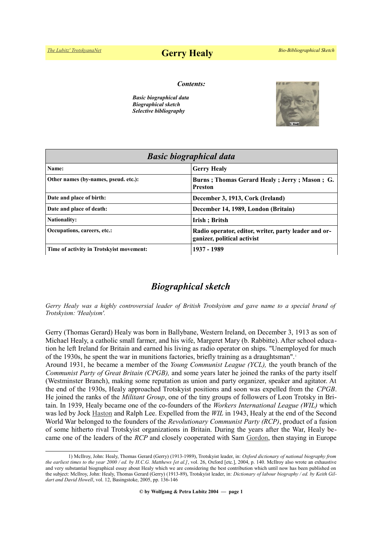# *[The Lubitz' TrotskyanaNet](https://www.trotskyana.net/)* **Gerry Healy** *Bio-Bibliographical Sketch*

#### *Contents:*

*Basic biographical data Biographical sketch Selective bibliography*



| <b>Basic biographical data</b>           |                                                                                     |
|------------------------------------------|-------------------------------------------------------------------------------------|
| Name:                                    | <b>Gerry Healy</b>                                                                  |
| Other names (by-names, pseud. etc.):     | Burns; Thomas Gerard Healy; Jerry; Mason; G.<br><b>Preston</b>                      |
| Date and place of birth:                 | December 3, 1913, Cork (Ireland)                                                    |
| Date and place of death:                 | December 14, 1989, London (Britain)                                                 |
| <b>Nationality:</b>                      | Irish; Britsh                                                                       |
| Occupations, careers, etc.:              | Radio operator, editor, writer, party leader and or-<br>ganizer, political activist |
| Time of activity in Trotskyist movement: | 1937 - 1989                                                                         |

## *Biographical sketch*

*Gerry Healy was a highly controversial leader of British Trotskyism and gave name to a special brand of Trotskyism: 'Healyism'.*

Gerry (Thomas Gerard) Healy was born in Ballybane, Western Ireland, on December 3, 1913 as son of Michael Healy, a catholic small farmer, and his wife, Margeret Mary (b. Rabbitte). After school education he left Ireland for Britain and earned his living as radio operator on ships. "Unemployed for much of the 1930s, he spent the war in munitions factories, briefly training as a draughtsman". [1](#page-0-0)

Around 1931, he became a member of the *Young Communist League (YCL),* the youth branch of the *Communist Party of Great Britain (CPGB),* and some years later he joined the ranks of the party itself (Westminster Branch), making some reputation as union and party organizer, speaker and agitator. At the end of the 1930s, Healy approached Trotskyist positions and soon was expelled from the *CPGB*. He joined the ranks of the *Militant Group*, one of the tiny groups of followers of Leon Trotsky in Britain. In 1939, Healy became one of the co-founders of the *Workers International League (WIL)* which was led by Jock [Haston](https://en.wikipedia.org/wiki/Jock_Haston) and Ralph Lee. Expelled from the *WIL* in 1943, Healy at the end of the Second World War belonged to the founders of the *Revolutionary Communist Party (RCP)*, product of a fusion of some hitherto rival Trotskyist organizations in Britain. During the years after the War, Healy became one of the leaders of the *RCP* and closely cooperated with Sam [Gordon,](https://www.trotskyana.net/Trotskyists/Bio-Bibliographies/bio-bibl_gordon_s.pdf) then staying in Europe

<span id="page-0-0"></span><sup>1)</sup> McIlroy, John: Healy, Thomas Gerard (Gerry) (1913-1989), Trotskyist leader, in: *Oxford dictionary of national biography from the earliest times to the year 2000 / ed. by H.C.G. Matthews [et al.]*, vol. 26, Oxford [etc.], 2004, p. 140. McIlroy also wrote an exhaustive and very substantial biographical essay about Healy which we are considering the best contribution which until now has been published on the subject: McIlroy, John: Healy, Thomas Gerard (Gerry) (1913-89), Trotskyist leader, in: *Dictionary of labour biography / ed. by Keith Gildart and David Howell*, vol. 12, Basingstoke, 2005, pp. 136-146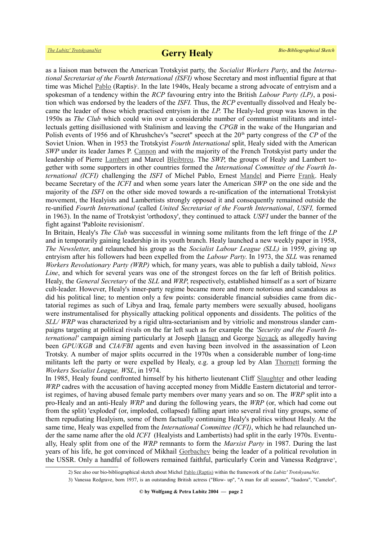as a liaison man between the American Trotskyist party, the *Socialist Workers Party*, and the *International Secretariat of the Fourth International (ISFI)* whose Secretary and most influential figure at that time was Michel [Pablo](https://www.trotskyana.net/Trotskyists/Bio-Bibliographies/bio-bibl_pablo.pdf) (Raptis)<sup>2</sup>[.](#page-1-0) In the late 1940s, Healy became a strong advocate of entryism and a spokesman of a tendency within the *RCP* favouring entry into the British *Labour Party (LP)*, a position which was endorsed by the leaders of the *ISFI.* Thus, the *RCP* eventually dissolved and Healy became the leader of those which practised entryism in the *LP*. The Healy-led group was known in the 1950s as *The Club* which could win over a considerable number of communist militants and intellectuals getting disillusioned with Stalinism and leaving the *CPGB* in the wake of the Hungarian and Polish events of 1956 and of Khrushchev's "secret" speech at the 20<sup>th</sup> party congress of the *CP* of the Soviet Union. When in 1953 the Trotskyist *Fourth International* split, Healy sided with the American *SWP* under its leader James P. [Cannon](https://www.trotskyana.net/Trotskyists/Bio-Bibliographies/bio-bibl_cannon.pdf) and with the majority of the French Trotsky ist party under the leadership of Pierre [Lambert](https://en.wikipedia.org/wiki/Pierre_Lambert) and Marcel [Bleibtreu.](https://en.wikipedia.org/wiki/Marcel_Bleibtreu) The *SWP*, the groups of Healy and Lambert together with some supporters in other countries formed the *International Committee of the Fourth International (ICFI)* challenging the *ISFI* of Michel Pablo, Ernest [Mandel](https://www.trotskyana.net/Trotskyists/Ernest_Mandel/ernest_mandel.html) and Pierre [Frank.](https://www.trotskyana.net/Trotskyists/Bio-Bibliographies/bio-bibl_frank.pdf) Healy became Secretary of the *ICFI* and when some years later the American *SWP* on the one side and the majority of the *ISFI* on the other side moved towards a re-unification of the international Trotskyist movement, the Healyists and Lambertists strongly opposed it and consequently remained outside the re-unified *Fourth International* (called *United Secretariat of the Fourth International*, *USFI,* formed in 1963). In the name of Trotskyist 'orthodoxy', they continued to attack *USFI* under the banner of the fight against 'Pabloite revisionism'.

In Britain, Healy's *The Club* was successful in winning some militants from the left fringe of the *LP* and in temporarily gaining leadership in its youth branch. Healy launched a new weekly paper in 1958, *The Newsletter*, and relaunched his group as the *Socialist Labour League (SLL)* in 1959, giving up entryism after his followers had been expelled from the *Labour Party*. In 1973, the *SLL* was renamed *Workers Revolutionary Party (WRP)* which, for many years, was able to publish a daily tabloid, *News Line*, and which for several years was one of the strongest forces on the far left of British politics. Healy, the *General Secretary* of the *SLL* and *WRP*, respectively, established himself as a sort of bizarre cult-leader. However, Healy's inner-party regime became more and more notorious and scandalous as did his political line; to mention only a few points: considerable financial subsidies came from dictatorial regimes as such of Libya and Iraq, female party members were sexually abused, hooligans were instrumentalised for physically attacking political opponents and dissidents. The politics of the *SLL/ WRP* was characterized by a rigid ultra-sectarianism and by vitriolic and monstrous slander campaigns targeting at political rivals on the far left such as for example the *'Security and the Fourth International'* campaign aiming particularly at Joseph [Hansen](https://www.trotskyana.net/Trotskyists/Bio-Bibliographies/bio-bibl_hansen_j.pdf) and George [Novack](https://www.trotskyana.net/Trotskyists/Bio-Bibliographies/bio-bibl_novack.pdf) as allegedly having been *GPU/KGB* and *CIA/FBI* agents and even having been involved in the assassination of Leon Trotsky. A number of major splits occurred in the 1970s when a considerable number of long-time militants left the party or were expelled by Healy, e.g. a group led by Alan [Thornett](https://en.wikipedia.org/wiki/Alan_Thornett) forming the *Workers Socialist League, WSL*, in 1974.

In 1985, Healy found confronted himself by his hitherto lieutenant Cliff [Slaughter](https://en.wikipedia.org/wiki/Cliff_Slaughter) and other leading *WRP* cadres with the accusation of having accepted money from Middle Eastern dictatorial and terrorist regimes, of having abused female party members over many years and so on. The *WRP* split into a pro-Healy and an anti-Healy *WRP* and during the following years, the *WRP* (or, which had come out from the split) 'exploded' (or, imploded, collapsed) falling apart into several rival tiny groups, some of them repudiating Healyism, some of them factually continuing Healy's politics without Healy. At the same time, Healy was expelled from the *International Committee (ICFI)*, which he had relaunched under the same name after the old *ICFI* (Healyists and Lambertists) had split in the early 1970s. Eventually, Healy split from one of the *WRP* remnants to form the *Marxist Party* in 1987. During the last years of his life, he got convinced of Mikhail [Gorbachev](https://en.wikipedia.org/wiki/Mikhail_Gorbachev) being the leader of a political revolution in the USSR. Only a handful of followers remained faithful, particularly Corin and Vanessa Redgrave<sup>[3](#page-1-1)</sup>,

<span id="page-1-0"></span><sup>2)</sup> See also our bio-bibliographical sketch about Michel [Pablo \(Raptis\)](https://www.trotskyana.net/Trotskyists/Bio-Bibliographies/bio-bibl_pablo.pdf) within the framework of the *Lubitz' TrotskyanaNet*.

<span id="page-1-1"></span><sup>3)</sup> Vanessa Redgrave, born 1937, is an outstanding British actress ("Blow- up", "A man for all seasons", "Isadora", "Camelot",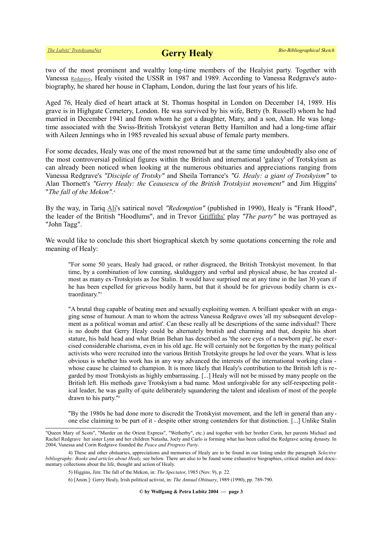two of the most prominent and wealthy long-time members of the Healyist party. Together with Vanessa [Redgrave](https://en.wikipedia.org/wiki/Vanessa_Redgrave), Healy visited the USSR in 1987 and 1989. According to Vanessa Redgrave's autobiography, he shared her house in Clapham, London, during the last four years of his life.

Aged 76, Healy died of heart attack at St. Thomas hospital in London on December 14, 1989. His grave is in Highgate Cemetery, London. He was survived by his wife, Betty (b. Russell) whom he had married in December 1941 and from whom he got a daughter, Mary, and a son, Alan. He was longtime associated with the Swiss-British Trotskyist veteran Betty Hamilton and had a long-time affair with Aileen Jennings who in 1985 revealed his sexual abuse of female party members.

For some decades, Healy was one of the most renowned but at the same time undoubtedly also one of the most controversial political figures within the British and international 'galaxy' of Trotskyism as can already been noticed when looking at the numerous obituaries and appreciations ranging from Vanessa Redgrave's *"Disciple of Trotsky"* and Sheila Torrance's *"G. Healy: a giant of Trotskyism"* to Alan Thornett's *"Gerry Healy: the Ceausescu of the British Trotskyist movement"* and Jim Higgins' "*The fall of the Mekon".*[4](#page-2-0)

By the way, in Tariq [Ali'](https://en.wikipedia.org/wiki/Tariq_Ali)s satirical novel *"Redemption"* (published in 1990), Healy is "Frank Hood", the leader of the British "Hoodlums", and in Trevor [Griffiths'](https://en.wikipedia.org/wiki/Trevor_Griffiths) play *"The party"* he was portrayed as "John Tagg".

We would like to conclude this short biographical sketch by some quotations concerning the role and meaning of Healy:

"For some 50 years, Healy had graced, or rather disgraced, the British Trotskyist movement. In that time, by a combination of low cunning, skulduggery and verbal and physical abuse, he has created almost as many ex-Trotskyists as Joe Stalin. It would have surprised me at any time in the last 30 years if he has been expelled for grievous bodily harm, but that it should be for grievous bodily charm is ex-traordinary."<sup>[5](#page-2-1)</sup>

"A brutal thug capable of beating men and sexually exploiting women. A brilliant speaker with an engaging sense of humour. A man to whom the actress Vanessa Redgrave owes 'all my subsequent development as a political woman and artist'. Can these really all be descriptions of the same individual? There is no doubt that Gerry Healy could be alternately brutish and charming and that, despite his short stature, his bald head and what Brian Behan has described as 'the sore eyes of a newborn pig', he exercised considerable charisma, even in his old age. He will certainly not be forgotten by the many political activists who were recruited into the various British Trotskyite groups he led over the years. What is less obvious is whether his work has in any way advanced the interests of the international working class whose cause he claimed to champion. It is more likely that Healy's contribution to the British left is regarded by most Trotskyists as highly embarrassing. [...] Healy will not be missed by many people on the British left. His methods gave Trotskyism a bad name. Most unforgivable for any self-respecting political leader, he was guilty of quite deliberately squandering the talent and idealism of most of the people drawn to his party."[6](#page-2-2)

"By the 1980s he had done more to discredit the Trotskyist movement, and the left in general than anyone else claiming to be part of it - despite other strong contenders for that distinction. [...] Unlike Stalin

**© by Wolfgang & Petra Lubitz 2004 — page 3**

<sup>&</sup>quot;Queen Mary of Scots", "Murder on the Orient Express", "Wetherby", etc.) and together with her brother Corin, her parents Michael and Rachel Redgrave her sister Lynn and her children Natasha, Joely and Carlo is forming what has been called the Redgrave acting dynasty. In 2004, Vanessa and Corin Redgrave founded the *Peace and Progress Party*.

<sup>4)</sup> These and other obituaries, appreciations and memories of Healy are to be found in our listing under the paragraph *Selective bibliography: Books and articles about Healy, see below. There are also to be found some exhaustive biographies, critical studies and docu*mentary collections about the life, thought and action of Healy.

<span id="page-2-1"></span><span id="page-2-0"></span><sup>5)</sup> Higgins, Jim: The fall of the Mekon, in: *The Spectator*, 1985 (Nov. 9), p. 22.

<span id="page-2-2"></span><sup>6) [</sup>Anon.]: Gerry Healy, Irish political activist, in: *The Annual Obituary*, 1989 (1990), pp. 789-790.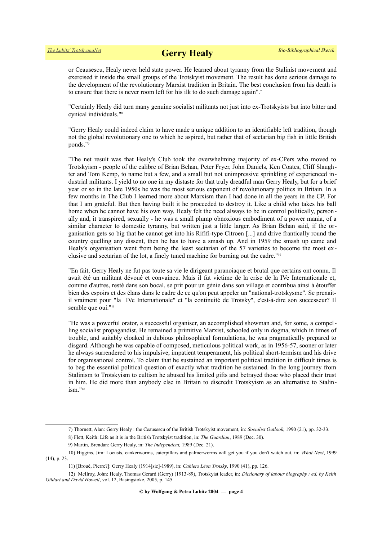or Ceausescu, Healy never held state power. He learned about tyranny from the Stalinist movement and exercised it inside the small groups of the Trotskyist movement. The result has done serious damage to the development of the revolutionary Marxist tradition in Britain. The best conclusion from his death is to ensure that there is never room left for his ilk to do such damage again".<sup>[7](#page-3-0)</sup>

"Certainly Healy did turn many genuine socialist militants not just into ex-Trotskyists but into bitter and cynical individuals."[8](#page-3-1)

"Gerry Healy could indeed claim to have made a unique addition to an identifiable left tradition, though not the global revolutionary one to which he aspired, but rather that of sectarian big fish in little British ponds."[9](#page-3-2)

"The net result was that Healy's Club took the overwhelming majority of ex-CPers who moved to Trotskyism - people of the calibre of Brian Behan, Peter Fryer, John Daniels, Ken Coates, Cliff Slaughter and Tom Kemp, to name but a few, and a small but not unimpressive sprinkling of experienced industrial militants. I yield to no one in my distaste for that truly dreadful man Gerry Healy, but for a brief year or so in the late 1950s he was the most serious exponent of revolutionary politics in Britain. In a few months in The Club I learned more about Marxism than I had done in all the years in the CP. For that I am grateful. But then having built it he proceeded to destroy it. Like a child who takes his ball home when he cannot have his own way, Healy felt the need always to be in control politically, personally and, it transpired, sexually - he was a small plump obnoxious embodiment of a power mania, of a similar character to domestic tyranny, but written just a little larger. As Brian Behan said, if the organisation gets so big that he cannot get into his Rififi-type Citroen [...] and drive frantically round the country quelling any dissent, then he has to have a smash up. And in 1959 the smash up came and Healy's organisation went from being the least sectarian of the 57 varieties to become the most exclusive and sectarian of the lot, a finely tuned machine for burning out the cadre."[10](#page-3-3)

"En fait, Gerry Healy ne fut pas toute sa vie le dirigeant paranoiaque et brutal que certains ont connu. Il avait été un militant dévoué et convaincu. Mais il fut victime de la crise de la IVe Internationale et, comme d'autres, resté dans son bocal, se prit pour un génie dans son village et contribua ainsi à étouffer bien des espoirs et des élans dans le cadre de ce qu'on peut appeler un "national-trotskysme". Se prenaitil vraiment pour "la IVe Internationale" et "la continuité de Trotsky", c'est-à-dire son successeur? Il semble que oui."<sup>[11](#page-3-4)</sup>

"He was a powerful orator, a successful organiser, an accomplished showman and, for some, a compelling socialist propagandist. He remained a primitive Marxist, schooled only in dogma, which in times of trouble, and suitably cloaked in dubious philosophical formulations, he was pragmatically prepared to disgard. Although he was capable of composed, meticulous political work, as in 1956-57, sooner or later he always surrendered to his impulsive, impatient temperament, his political short-termism and his drive for organisational control. To claim that he sustained an important political tradition in difficult times is to beg the essential political question of exactly what tradition he sustained. In the long journey from Stalinism to Trotskyism to cultism he abused his limited gifts and betrayed those who placed their trust in him. He did more than anybody else in Britain to discredit Trotskyism as an alternative to Stalinism."[12](#page-3-5)

<span id="page-3-0"></span><sup>7)</sup> Thornett, Alan: Gerry Healy : the Ceausescu of the British Trotskyist movement, in: *Socialist Outlook*, 1990 (21), pp. 32-33.

<span id="page-3-1"></span><sup>8)</sup> Flett, Keith: Life as it is in the British Trotskyist tradition, in: *The Guardian*, 1989 (Dec. 30).

<span id="page-3-3"></span><span id="page-3-2"></span><sup>9)</sup> Martin, Brendan: Gerry Healy, in: *The Independent,* 1989 (Dec. 21).

<sup>10)</sup> Higgins, Jim: Locusts, cankerworms, caterpillars and palmerworms will get you if you don't watch out, in: *What Next*, 1999 (14), p. 23.

<span id="page-3-5"></span><span id="page-3-4"></span><sup>11) [</sup>Broué, Pierre?]: Gerry Healy (1914[sic]-1989), in: *Cahiers Léon Trotsky*, 1990 (41), pp. 126.

<sup>12)</sup> McIlroy, John: Healy, Thomas Gerard (Gerry) (1913-89), Trotskyist leader, in: *Dictionary of labour biography / ed. by Keith Gildart and David Howell*, vol. 12, Basingstoke, 2005, p. 145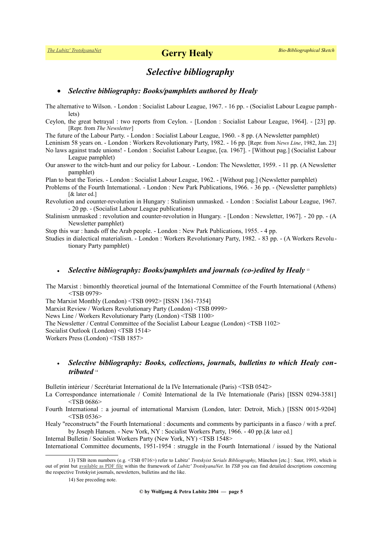### *Selective bibliography*

#### *Selective bibliography: Books/pamphlets authored by Healy*

The alternative to Wilson. - London : Socialist Labour League, 1967. - 16 pp. - (Socialist Labour League pamphlets)

Ceylon, the great betrayal : two reports from Ceylon. - [London : Socialist Labour League, 1964]. - [23] pp. [Repr. from *The Newsletter*]

The future of the Labour Party. - London : Socialist Labour League, 1960. - 8 pp. (A Newsletter pamphlet)

Leninism 58 years on. - London : Workers Revolutionary Party, 1982. - 16 pp. [Repr. from *News Line*, 1982, Jan. 23]

No laws against trade unions! - London : Socialist Labour League, [ca. 1967]. - [Without pag.] (Socialist Labour League pamphlet)

Our answer to the witch-hunt and our policy for Labour. - London: The Newsletter, 1959. - 11 pp. (A Newsletter pamphlet)

Plan to beat the Tories. - London : Socialist Labour League, 1962. - [Without pag.] (Newsletter pamphlet)

Problems of the Fourth International. - London : New Park Publications, 1966. - 36 pp. - (Newsletter pamphlets) [& later ed.]

Revolution and counter-revolution in Hungary : Stalinism unmasked. - London : Socialist Labour League, 1967. - 20 pp. - (Socialist Labour League publications)

Stalinism unmasked : revolution and counter-revolution in Hungary. - [London : Newsletter, 1967]. - 20 pp. - (A Newsletter pamphlet)

Stop this war : hands off the Arab people. - London : New Park Publications, 1955. - 4 pp.

Studies in dialectical materialism. - London : Workers Revolutionary Party, 1982. - 83 pp. - (A Workers Revolutionary Party pamphlet)

#### *Selective bibliography: Books/pamphlets and journals (co-)edited by Healy* [13](#page-4-0)

The Marxist : bimonthly theoretical journal of the International Committee of the Fourth International (Athens) <TSB 0979>

The Marxist Monthly (London) <TSB 0992> [ISSN 1361-7354] Marxist Review / Workers Revolutionary Party (London) <TSB 0999> News Line / Workers Revolutionary Party (London) <TSB 1100> The Newsletter / Central Committee of the Socialist Labour League (London) <TSB 1102> Socialist Outlook (London) <TSB 1514> Workers Press (London) <TSB 1857>

### *Selective bibliography: Books, collections, journals, bulletins to which Healy contributed* [14](#page-4-1)

Bulletin intérieur / Secrétariat International de la IVe Internationale (Paris) <TSB 0542>

La Correspondance internationale / Comité International de la IVe Internationale (Paris) [ISSN 0294-3581] <TSB 0686>

Fourth International : a journal of international Marxism (London, later: Detroit, Mich.) [ISSN 0015-9204] <TSB 0536>

Healy "reconstructs" the Fourth International : documents and comments by participants in a fiasco / with a pref. by Joseph Hansen. - New York, NY : Socialist Workers Party, 1966. - 40 pp.[& later ed.]

Internal Bulletin / Socialist Workers Party (New York, NY) <TSB 1548>

International Committee documents, 1951-1954 : struggle in the Fourth International / issued by the National

<sup>13)</sup> TSB item numbers (e.g. <TSB 0716>) refer to Lubitz' *Trotskyist Serials Bibliography*, München [etc.] : Saur, 1993, which is out of print but [available as PDF file](https://www.trotskyana.net/LubitzBibliographies/Serials_Bibliography/serials_bibliography.htm#PDF) within the framework of *Lubitz' TrotskyanaNet*. In *TSB* you can find detailed descriptions concerning the respective Trotskyist journals, newsletters, bulletins and the like.

<span id="page-4-1"></span><span id="page-4-0"></span><sup>14)</sup> See preceding note.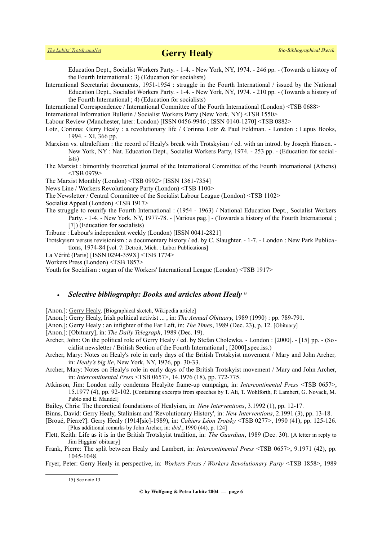Education Dept., Socialist Workers Party. - 1-4. - New York, NY, 1974. - 246 pp. - (Towards a history of the Fourth International ; 3) (Education for socialists)

International Secretariat documents, 1951-1954 : struggle in the Fourth International / issued by the National Education Dept., Socialist Workers Party. - 1-4. - New York, NY, 1974. - 210 pp. - (Towards a history of the Fourth International ; 4) (Education for socialists)

International Correspondence / International Committee of the Fourth International (London) <TSB 0688>

International Information Bulletin / Socialist Workers Party (New York, NY) <TSB 1550>

Labour Review (Manchester, later: London) [ISSN 0456-9946 ; ISSN 0140-1270] <TSB 0882>

- Lotz, Corinna: Gerry Healy : a revolutionary life / Corinna Lotz & Paul Feldman. London : Lupus Books, 1994. - XI, 366 pp.
- Marxism vs. ultraleftism : the record of Healy's break with Trotskyism / ed. with an introd. by Joseph Hansen. -New York, NY : Nat. Education Dept., Socialist Workers Party, 1974. - 253 pp. - (Education for socialists)
- The Marxist : bimonthly theoretical journal of the International Committee of the Fourth International (Athens) <TSB 0979>

The Marxist Monthly (London) <TSB 0992> [ISSN 1361-7354]

News Line / Workers Revolutionary Party (London) <TSB 1100>

The Newsletter / Central Committee of the Socialist Labour League (London) <TSB 1102>

Socialist Appeal (London) <TSB 1917>

The struggle to reunify the Fourth International : (1954 - 1963) / National Education Dept., Socialist Workers Party. - 1-4. - New York, NY, 1977-78. - [Various pag.] - (Towards a history of the Fourth International ; [7]) (Education for socialists)

Tribune : Labour's independent weekly (London) [ISSN 0041-2821]

Trotskyism versus revisionism : a documentary history / ed. by C. Slaughter. - 1-7. - London : New Park Publications, 1974-84 [vol. 7: Detroit, Mich. : Labor Publications]

La Vérité (Paris) [ISSN 0294-359X] <TSB 1774>

Workers Press (London) <TSB 1857>

Youth for Socialism : organ of the Workers' International League (London) <TSB 1917>

#### *Selective bibliography: Books and articles about Healy* [15](#page-5-0)

[Anon.]: [Gerry Healy.](http://en.wikipedia.org/wiki/Gerry_Healy) [Biographical sketch, Wikipedia article]

[Anon.]: Gerry Healy, Irish political activist ... , in: *The Annual Obituary*, 1989 (1990) : pp. 789-791.

[Anon.]: Gerry Healy : an infighter of the Far Left, in: *The Times*, 1989 (Dec. 23), p. 12. [Obituary]

[Anon.]: [Obituary], in: *The Daily Telegraph*, 1989 (Dec. 19).

- Archer, John: On the political role of Gerry Healy / ed. by Stefan Cholewka. London : [2000]. [15] pp. (Socialist newsletter / British Section of the Fourth International ; [2000],spec.iss.)
- Archer, Mary: Notes on Healy's role in early days of the British Trotskyist movement / Mary and John Archer*,* in: *Healy's big lie*, New York, NY, 1976, pp. 30-33.
- Archer, Mary: Notes on Healy's role in early days of the British Trotskyist movement / Mary and John Archer, in: *Intercontinental Press* <TSB 0657>, 14.1976 (18), pp. 772-775.
- Atkinson, Jim: London rally condemns Healyite frame-up campaign, in: *Intercontinental Press* <TSB 0657>, 15.1977 (4), pp. 92-102. [Containing excerpts from speeches by T. Ali, T. Wohlforth, P. Lambert, G. Novack, M. Pablo and E. Mandel]

Bailey, Chris: The theoretical foundations of Healyism, in: *New Interventions*, 3.1992 (1), pp. 12-17.

- Binns, David: Gerry Healy, Stalinism and 'Revolutionary History', in: *New Interventions*, 2.1991 (3), pp. 13-18.
- [Broué, Pierre?]: Gerry Healy (1914[sic]-1989), in: *Cahiers Léon Trotsky* <TSB 0277>, 1990 (41), pp. 125-126. [Plus additional remarks by John Archer, in: *ibid.*, 1990 (44), p. 124]
- Flett, Keith: Life as it is in the British Trotskyist tradition, in: *The Guardian*, 1989 (Dec. 30). [A letter in reply to Jim Higgins' obituary]
- Frank, Pierre: The split between Healy and Lambert, in: *Intercontinental Press* <TSB 0657>, 9.1971 (42), pp. 1045-1048.

Fryer, Peter: Gerry Healy in perspective, in: *Workers Press / Workers Revolutionary Party* <TSB 1858>, 1989

<span id="page-5-0"></span>15) See note 13.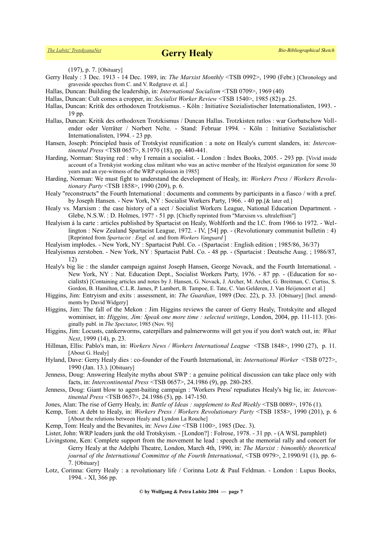*[The Lubitz' TrotskyanaNet](https://www.trotskyana.net/)* **Gerry Healy** *Bio-Bibliographical Sketch*

(197), p. 7. [Obituary]

- Gerry Healy : 3 Dec. 1913 14 Dec. 1989, in: *The Marxist Monthly* <TSB 0992>, 1990 (Febr.) [Chronology and graveside speeches from C. and V. Redgrave et. al.]
- Hallas, Duncan: Building the leadership, in: *International Socialism* <TSB 0709>, 1969 (40)
- Hallas, Duncan: Cult comes a cropper, in: *Socialist Worker Review* <TSB 1540>, 1985 (82) p. 25.
- Hallas, Duncan: Kritik des orthodoxen Trotzkismus. Köln : Initiative Sozialistischer Internationalisten, 1993. 19 pp.
- Hallas, Duncan: Kritik des orthodoxen Trotzkismus / Duncan Hallas. Trotzkisten ratlos : war Gorbatschow Vollender oder Verräter / Norbert Nelte. - Stand: Februar 1994. - Köln : Initiative Sozialistischer Internationalisten, 1994. - 23 pp.
- Hansen, Joseph: Principled basis of Trotskyist reunification : a note on Healy's current slanders, in: *Intercontinental Press* <TSB 0657>, 8.1970 (18), pp. 440-441.
- Harding, Norman: Staying red : why I remain a socialist. London : Index Books, 2005. 293 pp. [Vivid inside account of a Trotskyist working class militant who was an active member of the Healyist organization for some 30 years and an eye-witness of the WRP explosion in 1985]
- Harding, Norman: We must fight to understand the development of Healy, in: *Workers Press / Workers Revolutionary Party* <TSB 1858>, 1990 (209), p. 6.
- Healy "reconstructs" the Fourth International : documents and comments by participants in a fiasco / with a pref. by Joseph Hansen. - New York, NY : Socialist Workers Party, 1966. - 40 pp.[& later ed.]
- Healy vs. Marxism : the case history of a sect / Socialist Workers League, National Education Department. Glebe, N.S.W. : D. Holmes, 197? - 51 pp. [Chiefly reprinted from "Marxism vs. ultraleftism"]
- Healyism à la carte : articles published by Spartacist on Healy, Wohlforth and the I.C. from 1966 to 1972. Wellington : New Zealand Spartacist League, 1972. - IV, [54] pp. - (Revolutionary communist bulletin : 4) [Reprinted from *Spartacist : Engl. ed.* and from *Workers Vanguard* ]
- Healyism implodes. New York, NY : Spartacist Publ. Co. (Spartacist : English edition ; 1985/86, 36/37)
- Healyismus zerstoben. New York, NY : Spartacist Publ. Co. 48 pp. (Spartacist : Deutsche Ausg. ; 1986/87, 12)
- Healy's big lie : the slander campaign against Joseph Hansen, George Novack, and the Fourth International. -New York, NY : Nat. Education Dept., Socialist Workers Party, 1976. - 87 pp. - (Education for socialists) [Containing articles and notes by J. Hansen, G. Novack, J. Archer, M. Archer, G. Breitman, C. Curtiss, S. Gordon, B. Hamilton, C.L.R. James, P. Lambert, B. Tampoe, E. Tate, C. Van Gelderen, J. Van Heijenoort et al.]
- Higgins, Jim: Entryism and exits : assessment, in: *The Guardian*, 1989 (Dec. 22), p. 33. [Obituary] [Incl. amendments by David Widgery]
- Higgins, Jim: The fall of the Mekon : Jim Higgins reviews the career of Gerry Healy, Trotskyite and alleged wominiser, in: *Higgins, Jim: Speak one more time : selected writings*, London, 2004, pp. 111-113. [Originally publ. in *The Spectator*, 1985 (Nov. 9)]
- Higgins, Jim: Locusts, cankerworms, caterpillars and palmerworms will get you if you don't watch out, in: *What Next*, 1999 (14), p. 23.
- Hillman, Ellis: Pablo's man, in: *Workers News / Workers International League* <TSB 1848>, 1990 (27), p. 11. [About G. Healy]
- Hyland, Dave: Gerry Healy dies : co-founder of the Fourth International, in: *International Worker* <TSB 0727>, 1990 (Jan. 13.). [Obituary]
- Jenness, Doug: Answering Healyite myths about SWP : a genuine political discussion can take place only with facts, in: *Intercontinental Press* <TSB 0657>, 24.1986 (9), pp. 280-285.
- Jenness, Doug: Giant blow to agent-baiting campaign : 'Workers Press' repudiates Healy's big lie, in: *Intercontinental Press* <TSB 0657>, 24.1986 (5), pp. 147-150.
- Jones, Alan: The rise of Gerry Healy, in: *Battle of Ideas : supplement to Red Weekly* <TSB 0089>, 1976 (1).
- Kemp, Tom: A debt to Healy, in: *Workers Press / Workers Revolutionary Party* <TSB 1858>, 1990 (201), p. 6 [About the relations between Healy and Lyndon La Rouche]
- Kemp, Tom: Healy and the Bevanites, in: *News Line* <TSB 1100>, 1985 (Dec. 3).
- Lister, John: WRP leaders junk the old Trotskyism. [London?] : Folrose, 1978. 31 pp. (A WSL pamphlet)
- Livingstone, Ken: Complete support from the movement he lead : speech at the memorial rally and concert for Gerry Healy at the Adelphi Theatre, London, March 4th, 1990, in: *The Marxist : bimonthly theoretical journal of the International Committee of the Fourth International*, <TSB 0979>, 2.1990/91 (1), pp. 6- 7. [Obituary]
- Lotz, Corinna: Gerry Healy : a revolutionary life / Corinna Lotz & Paul Feldman. London : Lupus Books, 1994. - XI, 366 pp.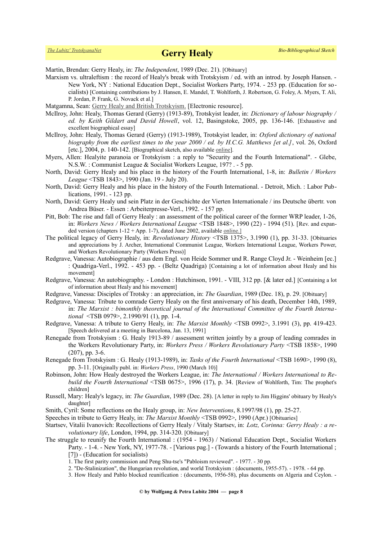## *[The Lubitz' TrotskyanaNet](https://www.trotskyana.net/)* **Gerry Healy** *Bio-Bibliographical Sketch*

Martin, Brendan: Gerry Healy, in: *The Independent*, 1989 (Dec. 21). [Obituary]

- Marxism vs. ultraleftism : the record of Healy's break with Trotskyism / ed. with an introd. by Joseph Hansen. New York, NY : National Education Dept., Socialist Workers Party, 1974. - 253 pp. (Education for socialists) [Containing contributions by J. Hansen, E. Mandel, T. Wohlforth, J. Robertson, G. Foley, A. Myers, T. Ali, P. Jordan, P. Frank, G. Novack et al.]
- Matgamna, Sean: [Gerry Healy and British Trotskyism.](http://www.workersliberty.org/story/2008/06/05/gerry-healy-and-british-trotskyism) [Electronic resource].
- McIlroy, John: Healy, Thomas Gerard (Gerry) (1913-89), Trotskyist leader, in: *Dictionary of labour biography / ed. by Keith Gildart and David Howell*, vol. 12, Basingstoke, 2005, pp. 136-146. [Exhaustive and excellent biographical essay]
- McIlroy, John: Healy, Thomas Gerard (Gerry) (1913-1989), Trotskyist leader, in: *Oxford dictionary of national biography from the earliest times to the year 2000 / ed. by H.C.G. Matthews [et al.]*, vol. 26, Oxford [etc.], 2004, p. 140-142. [Biographical sketch, also available [online\]](http://www.oxforddnb.com/view/article/70384).
- Myers, Allen: Healyite paranoia or Trotskyism : a reply to "Security and the Fourth International". Glebe, N.S.W. : Communist League & Socialist Workers League, 197? . - 5 pp.
- North, David: Gerry Healy and his place in the history of the Fourth International, 1-8, in: *Bulletin / Workers League* <TSB 1843>, 1990 (Jan. 19 - July 20).
- North, David: Gerry Healy and his place in the history of the Fourth International. Detroit, Mich. : Labor Publications, 1991. - 123 pp.
- North, David: Gerry Healy und sein Platz in der Geschichte der Vierten Internationale / ins Deutsche übertr. von Andrea Büser. - Essen : Arbeiterpresse-Verl., 1992. - 157 pp.
- Pitt, Bob: The rise and fall of Gerry Healy : an assessment of the political career of the former WRP leader, 1-26, in: *Workers News / Workers International League* <TSB 1848>, 1990 (22) - 1994 (51). [Rev. and expanded version (chapters  $1-12 + App. 1-7$ ), dated June 2002, available [online.](http://whatnextjournal.co.uk/Pages/Healy/Main.html)]
- The political legacy of Gerry Healy, in: *Revolutionary History* <TSB 1375>, 3.1990 (1), pp. 31-33. [Obituaries and appreciations by J. Archer, International Communist League, Workers International League, Workers Power, and Workers Revolutionary Party (Workers Press)]
- Redgrave, Vanessa: Autobiographie / aus dem Engl. von Heide Sommer und R. Range Cloyd Jr. Weinheim [ec.] : Quadriga-Verl., 1992. - 453 pp. - (Beltz Quadriga) [Containing a lot of information about Healy and his movement]
- Redgrave, Vanessa: An autobiography. London : Hutchinson, 1991. VIII, 312 pp. [& later ed.] [Containing a lot of information about Healy and his movement]
- Redgrave, Vanessa: Disciples of Trotsky : an appreciation, in: *The Guardian*, 1989 (Dec. 18), p. 29. [Obituary]
- Redgrave, Vanessa: Tribute to comrade Gerry Healy on the first anniversary of his death, December 14th, 1989, in: *The Marxist : bimonthly theoretical journal of the International Committee of the Fourth International* <TSB 0979>, 2.1990/91 (1), pp. 1-4.
- Redgrave, Vanessa: A tribute to Gerry Healy, in: *The Marxist Monthly* <TSB 0992>, 3.1991 (3), pp. 419-423. [Speech delivered at a meeting in Barcelona, Jan. 13, 1991]
- Renegade from Trotskyism : G. Healy 1913-89 / assessment written jointly by a group of leading comrades in the Workers Revolutionary Party, in: *Workers Press / Workers Revolutionary Party* <TSB 1858>, 1990 (207), pp. 3-6.
- Renegade from Trotskyism : G. Healy (1913-1989), in: *Tasks of the Fourth International* <TSB 1690>, 1990 (8), pp. 3-11. [Originally publ. in: *Workers Press*, 1990 (March 10)]
- Robinson, John: How Healy destroyed the Workers League, in: *The International / Workers International to Rebuild the Fourth International* <TSB 0675>, 1996 (17), p. 34. [Review of Wohlforth, Tim: The prophet's children]
- Russell, Mary: Healy's legacy, in: *The Guardian*, 1989 (Dec. 28). [A letter in reply to Jim Higgins' obituary by Healy's daughter]
- Smith, Cyril: Some reflections on the Healy group, in: *New Interventions*, 8.1997/98 (1), pp. 25-27.
- Speeches in tribute to Gerry Healy, in: *The Marxist Monthly* <TSB 0992>, 1990 (Apr.) [Obituaries]
- Startsev, Vitalii Ivanovich: Recollections of Gerry Healy / Vitaly Startsev, in: *Lotz, Corinna: Gerry Healy : a revolutionary life*, London, 1994, pp. 314-320. [Obituary]
- The struggle to reunify the Fourth International : (1954 1963) / National Education Dept., Socialist Workers Party. - 1-4. - New York, NY, 1977-78. - [Various pag.] - (Towards a history of the Fourth International ; [7]) - (Education for socialists)
	- 1. The first parity commission and Peng Shu-tse's "Pabloism reviewed". 1977. 30 pp.
	- 2. "De-Stalinization", the Hungarian revolution, and world Trotskyism : (documents, 1955-57). 1978. 64 pp.
	- 3. How Healy and Pablo blocked reunification : (documents, 1956-58), plus documents on Algeria and Ceylon. -